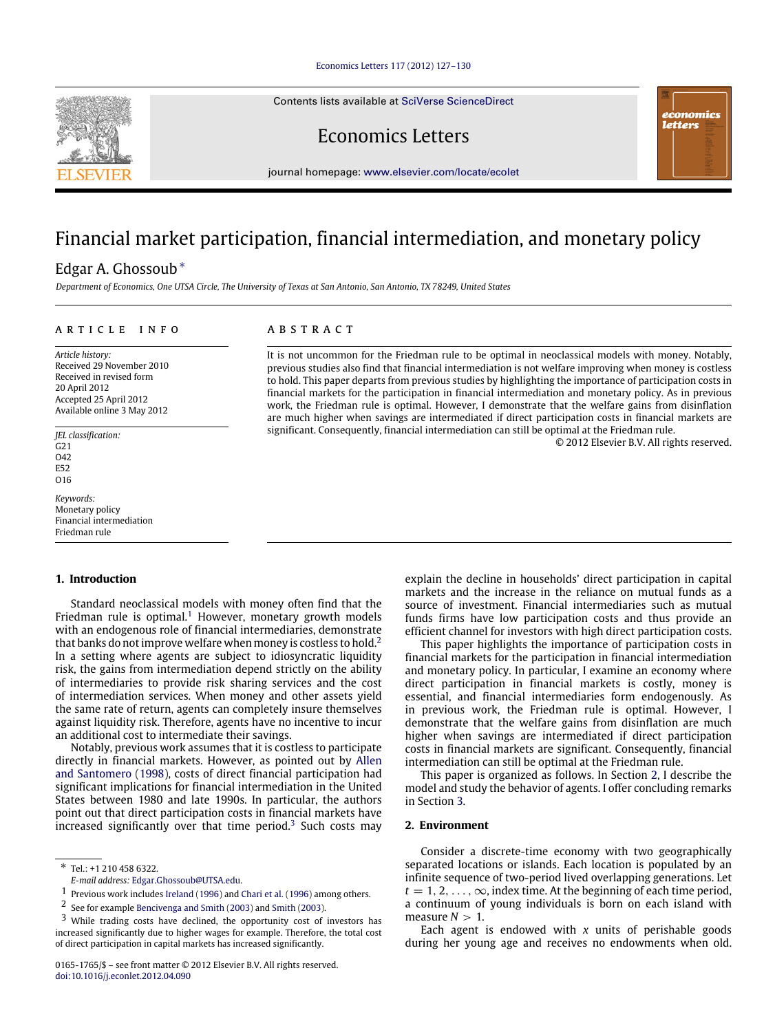### [Economics Letters 117 \(2012\) 127–130](http://dx.doi.org/10.1016/j.econlet.2012.04.090)

Contents lists available at [SciVerse ScienceDirect](http://www.elsevier.com/locate/ecolet)

Economics Letters

journal homepage: [www.elsevier.com/locate/ecolet](http://www.elsevier.com/locate/ecolet)

# Financial market participation, financial intermediation, and monetary policy

# Edgar A. Ghossoub[∗](#page-0-0)

*Department of Economics, One UTSA Circle, The University of Texas at San Antonio, San Antonio, TX 78249, United States*

### a r t i c l e i n f o

*Article history:* Received 29 November 2010 Received in revised form 20 April 2012 Accepted 25 April 2012 Available online 3 May 2012

*JEL classification:*  $G<sub>21</sub>$ O42 E52 O16

*Keywords:* Monetary policy Financial intermediation Friedman rule

# **1. Introduction**

Standard neoclassical models with money often find that the Friedman rule is optimal.<sup>[1](#page-0-1)</sup> However, monetary growth models with an endogenous role of financial intermediaries, demonstrate that banks do not improve welfare when money is costless to hold.<sup>[2](#page-0-2)</sup> In a setting where agents are subject to idiosyncratic liquidity risk, the gains from intermediation depend strictly on the ability of intermediaries to provide risk sharing services and the cost of intermediation services. When money and other assets yield the same rate of return, agents can completely insure themselves against liquidity risk. Therefore, agents have no incentive to incur an additional cost to intermediate their savings.

Notably, previous work assumes that it is costless to participate directly in financial markets. However, as pointed out by [Allen](#page--1-0) [and](#page--1-0) [Santomero](#page--1-0) [\(1998\)](#page--1-0), costs of direct financial participation had significant implications for financial intermediation in the United States between 1980 and late 1990s. In particular, the authors point out that direct participation costs in financial markets have increased significantly over that time period.<sup>[3](#page-0-3)</sup> Such costs may

### A B S T R A C T

It is not uncommon for the Friedman rule to be optimal in neoclassical models with money. Notably, previous studies also find that financial intermediation is not welfare improving when money is costless to hold. This paper departs from previous studies by highlighting the importance of participation costs in financial markets for the participation in financial intermediation and monetary policy. As in previous work, the Friedman rule is optimal. However, I demonstrate that the welfare gains from disinflation are much higher when savings are intermediated if direct participation costs in financial markets are significant. Consequently, financial intermediation can still be optimal at the Friedman rule.

© 2012 Elsevier B.V. All rights reserved.

economics letters

explain the decline in households' direct participation in capital markets and the increase in the reliance on mutual funds as a source of investment. Financial intermediaries such as mutual funds firms have low participation costs and thus provide an efficient channel for investors with high direct participation costs.

This paper highlights the importance of participation costs in financial markets for the participation in financial intermediation and monetary policy. In particular, I examine an economy where direct participation in financial markets is costly, money is essential, and financial intermediaries form endogenously. As in previous work, the Friedman rule is optimal. However, I demonstrate that the welfare gains from disinflation are much higher when savings are intermediated if direct participation costs in financial markets are significant. Consequently, financial intermediation can still be optimal at the Friedman rule.

This paper is organized as follows. In Section [2,](#page-0-4) I describe the model and study the behavior of agents. I offer concluding remarks in Section [3.](#page--1-5)

## <span id="page-0-4"></span>**2. Environment**

Consider a discrete-time economy with two geographically separated locations or islands. Each location is populated by an infinite sequence of two-period lived overlapping generations. Let  $t = 1, 2, \ldots, \infty$ , index time. At the beginning of each time period, a continuum of young individuals is born on each island with measure  $N > 1$ .

Each agent is endowed with *x* units of perishable goods during her young age and receives no endowments when old.



<span id="page-0-0"></span><sup>∗</sup> Tel.: +1 210 458 6322.

*E-mail address:* [Edgar.Ghossoub@UTSA.edu.](mailto:Edgar.Ghossoub@UTSA.edu)

<span id="page-0-1"></span><sup>1</sup> Previous work includes [Ireland](#page--1-1) [\(1996\)](#page--1-1) and [Chari](#page--1-2) [et al.](#page--1-2) [\(1996\)](#page--1-2) among others.

<span id="page-0-2"></span><sup>2</sup> See for example [Bencivenga](#page--1-3) [and](#page--1-3) [Smith](#page--1-3) [\(2003\)](#page--1-3) and [Smith](#page--1-4) [\(2003\)](#page--1-4).

<span id="page-0-3"></span><sup>3</sup> While trading costs have declined, the opportunity cost of investors has increased significantly due to higher wages for example. Therefore, the total cost of direct participation in capital markets has increased significantly.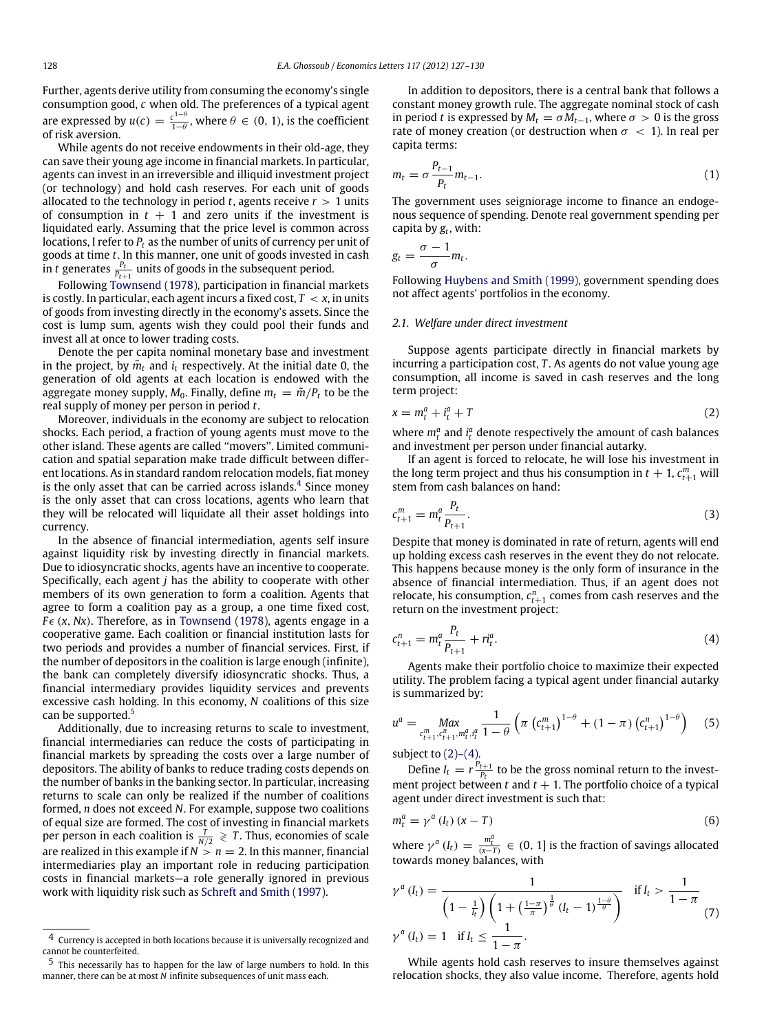Further, agents derive utility from consuming the economy's single consumption good, *c* when old. The preferences of a typical agent are expressed by  $u(c) = \frac{c^{1-\theta}}{1-\theta}$  $\frac{c^{1-\theta}}{1-\theta}$ , where  $\theta \in (0, 1)$ , is the coefficient of risk aversion.

While agents do not receive endowments in their old-age, they can save their young age income in financial markets. In particular, agents can invest in an irreversible and illiquid investment project (or technology) and hold cash reserves. For each unit of goods allocated to the technology in period *t*, agents receive  $r > 1$  units of consumption in  $t + 1$  and zero units if the investment is liquidated early. Assuming that the price level is common across locations, I refer to *P<sup>t</sup>* as the number of units of currency per unit of goods at time *t*. In this manner, one unit of goods invested in cash in *t* generates  $\frac{p_t}{p_{t+1}}$  units of goods in the subsequent period.

Following [Townsend](#page--1-6) [\(1978\)](#page--1-6), participation in financial markets is costly. In particular, each agent incurs a fixed cost,  $T < x$ , in units of goods from investing directly in the economy's assets. Since the cost is lump sum, agents wish they could pool their funds and invest all at once to lower trading costs.

Denote the per capita nominal monetary base and investment in the project, by  $\tilde{m}_t$  and  $i_t$  respectively. At the initial date 0, the generation of old agents at each location is endowed with the aggregate money supply,  $M_0$ . Finally, define  $m_t = \tilde{m}/P_t$  to be the real supply of money per person in period *t*.

Moreover, individuals in the economy are subject to relocation shocks. Each period, a fraction of young agents must move to the other island. These agents are called ''movers''. Limited communication and spatial separation make trade difficult between different locations. As in standard random relocation models, fiat money is the only asset that can be carried across islands. $^4$  $^4$  Since money is the only asset that can cross locations, agents who learn that they will be relocated will liquidate all their asset holdings into currency.

In the absence of financial intermediation, agents self insure against liquidity risk by investing directly in financial markets. Due to idiosyncratic shocks, agents have an incentive to cooperate. Specifically, each agent *j* has the ability to cooperate with other members of its own generation to form a coalition. Agents that agree to form a coalition pay as a group, a one time fixed cost,  $F \in (x, Nx)$ . Therefore, as in [Townsend](#page--1-6) [\(1978\)](#page--1-6), agents engage in a cooperative game. Each coalition or financial institution lasts for two periods and provides a number of financial services. First, if the number of depositors in the coalition is large enough (infinite), the bank can completely diversify idiosyncratic shocks. Thus, a financial intermediary provides liquidity services and prevents excessive cash holding. In this economy, *N* coalitions of this size can be supported.<sup>[5](#page-1-1)</sup>

Additionally, due to increasing returns to scale to investment, financial intermediaries can reduce the costs of participating in financial markets by spreading the costs over a large number of depositors. The ability of banks to reduce trading costs depends on the number of banks in the banking sector. In particular, increasing returns to scale can only be realized if the number of coalitions formed, *n* does not exceed *N*. For example, suppose two coalitions of equal size are formed. The cost of investing in financial markets per person in each coalition is  $\frac{T}{N/2} \geqslant T$ . Thus, economies of scale are realized in this example if  $N > n = 2$ . In this manner, financial intermediaries play an important role in reducing participation costs in financial markets—a role generally ignored in previous work with liquidity risk such as [Schreft](#page--1-7) [and](#page--1-7) [Smith](#page--1-7) [\(1997\)](#page--1-7).

In addition to depositors, there is a central bank that follows a constant money growth rule. The aggregate nominal stock of cash in period *t* is expressed by  $M_t = \sigma M_{t-1}$ , where  $\sigma > 0$  is the gross rate of money creation (or destruction when  $\sigma < 1$ ). In real per capita terms:

$$
m_t = \sigma \frac{P_{t-1}}{P_t} m_{t-1}.
$$
\n<sup>(1)</sup>

The government uses seigniorage income to finance an endogenous sequence of spending. Denote real government spending per capita by *g<sup>t</sup>* , with:

$$
g_t=\frac{\sigma-1}{\sigma}m_t.
$$

Following [Huybens](#page--1-8) [and](#page--1-8) [Smith](#page--1-8) [\(1999\)](#page--1-8), government spending does not affect agents' portfolios in the economy.

#### *2.1. Welfare under direct investment*

Suppose agents participate directly in financial markets by incurring a participation cost, *T* . As agents do not value young age consumption, all income is saved in cash reserves and the long term project:

$$
x = m_t^a + i_t^a + T \tag{2}
$$

<span id="page-1-2"></span>where  $m_t^a$  and  $i_t^a$  denote respectively the amount of cash balances and investment per person under financial autarky.

If an agent is forced to relocate, he will lose his investment in the long term project and thus his consumption in  $t + 1$ ,  $c_{t+1}^m$  will stem from cash balances on hand:

$$
c_{t+1}^m = m_t^a \frac{P_t}{P_{t+1}}.
$$
\n(3)

Despite that money is dominated in rate of return, agents will end up holding excess cash reserves in the event they do not relocate. This happens because money is the only form of insurance in the absence of financial intermediation. Thus, if an agent does not relocate, his consumption,  $c_{t+1}^n$  comes from cash reserves and the return on the investment project:

$$
c_{t+1}^n = m_t^a \frac{P_t}{P_{t+1}} + r_t^a. \tag{4}
$$

Agents make their portfolio choice to maximize their expected utility. The problem facing a typical agent under financial autarky is summarized by:

$$
u^{a} = \underset{c_{t+1}^{m}, c_{t+1}^{n}, m_{t}^{a}, i_{t}^{a}}{\text{Max}} \frac{1}{1-\theta} \left( \pi \left( c_{t+1}^{m} \right)^{1-\theta} + (1-\pi) \left( c_{t+1}^{n} \right)^{1-\theta} \right) \tag{5}
$$

subject to  $(2)-(4)$ .

Define  $I_t = r \frac{P_{t+1}}{P_t}$  to be the gross nominal return to the investment project between *t* and  $t + 1$ . The portfolio choice of a typical agent under direct investment is such that:

$$
m_t^a = \gamma^a (I_t) (x - T) \tag{6}
$$

where  $\gamma^a(I_t) = \frac{m_t^a}{(\chi - T)} \in (0, 1]$  is the fraction of savings allocated towards money balances, with

$$
\gamma^{a} (l_{t}) = \frac{1}{\left(1 - \frac{1}{l_{t}}\right) \left(1 + \left(\frac{1 - \pi}{\pi}\right)^{\frac{1}{\theta}} (l_{t} - 1)^{\frac{1 - \theta}{\theta}}\right)} \quad \text{if } l_{t} > \frac{1}{1 - \pi}
$$
\n
$$
\gamma^{a} (l_{t}) = 1 \quad \text{if } l_{t} \le \frac{1}{1 - \pi}.
$$
\n(7)

While agents hold cash reserves to insure themselves against relocation shocks, they also value income. Therefore, agents hold

<span id="page-1-0"></span><sup>4</sup> Currency is accepted in both locations because it is universally recognized and cannot be counterfeited.

<span id="page-1-1"></span><sup>5</sup> This necessarily has to happen for the law of large numbers to hold. In this manner, there can be at most *N* infinite subsequences of unit mass each.